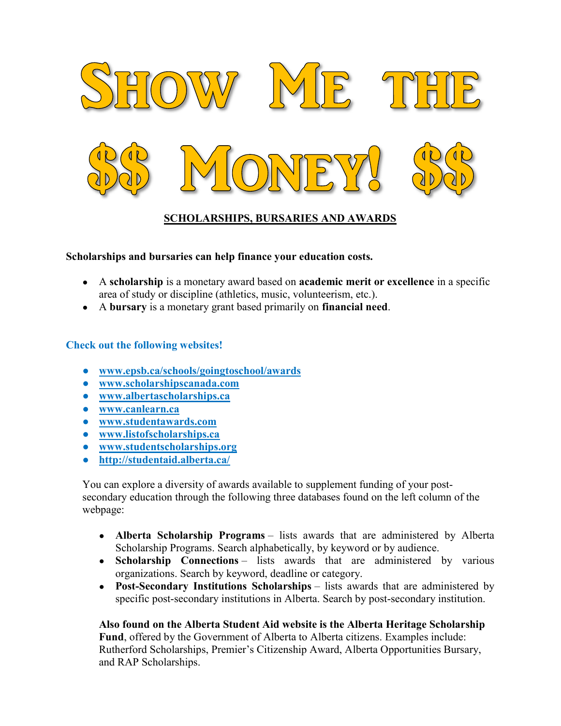

# SCHOLARSHIPS, BURSARIES AND AWARDS

#### Scholarships and bursaries can help finance your education costs.

- A scholarship is a monetary award based on academic merit or excellence in a specific area of study or discipline (athletics, music, volunteerism, etc.).
- A bursary is a monetary grant based primarily on financial need.

### Check out the following websites!

- www.epsb.ca/schools/goingtoschool/awards
- www.scholarshipscanada.com
- www.albertascholarships.ca
- www.canlearn.ca
- www.studentawards.com
- www.listofscholarships.ca
- www.studentscholarships.org
- http://studentaid.alberta.ca/

You can explore a diversity of awards available to supplement funding of your postsecondary education through the following three databases found on the left column of the webpage:

- Alberta Scholarship Programs lists awards that are administered by Alberta Scholarship Programs. Search alphabetically, by keyword or by audience.
- Scholarship Connections lists awards that are administered by various organizations. Search by keyword, deadline or category.
- Post-Secondary Institutions Scholarships lists awards that are administered by specific post-secondary institutions in Alberta. Search by post-secondary institution.

#### Also found on the Alberta Student Aid website is the Alberta Heritage Scholarship Fund, offered by the Government of Alberta to Alberta citizens. Examples include:

Rutherford Scholarships, Premier's Citizenship Award, Alberta Opportunities Bursary, and RAP Scholarships.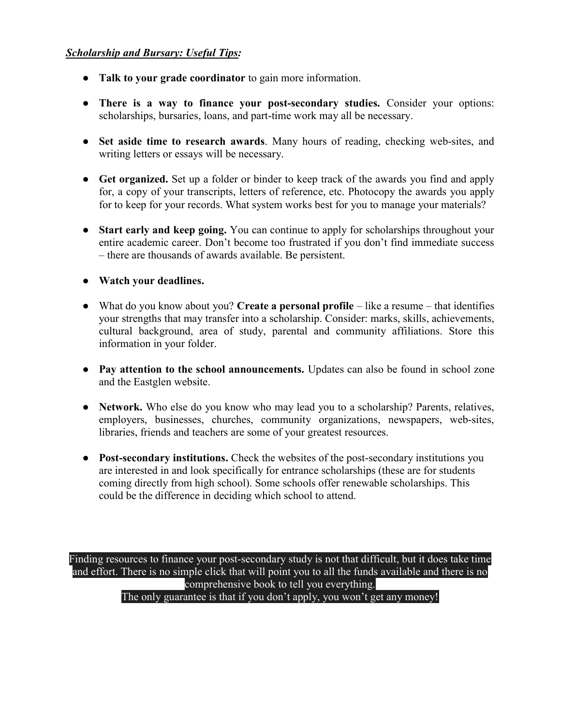## Scholarship and Bursary: Useful Tips:

- Talk to your grade coordinator to gain more information.
- There is a way to finance your post-secondary studies. Consider your options: scholarships, bursaries, loans, and part-time work may all be necessary.
- Set aside time to research awards. Many hours of reading, checking web-sites, and writing letters or essays will be necessary.
- Get organized. Set up a folder or binder to keep track of the awards you find and apply for, a copy of your transcripts, letters of reference, etc. Photocopy the awards you apply for to keep for your records. What system works best for you to manage your materials?
- Start early and keep going. You can continue to apply for scholarships throughout your entire academic career. Don't become too frustrated if you don't find immediate success – there are thousands of awards available. Be persistent.
- Watch your deadlines.
- $\bullet$  What do you know about you? Create a personal profile like a resume that identifies your strengths that may transfer into a scholarship. Consider: marks, skills, achievements, cultural background, area of study, parental and community affiliations. Store this information in your folder.
- Pay attention to the school announcements. Updates can also be found in school zone and the Eastglen website.
- Network. Who else do you know who may lead you to a scholarship? Parents, relatives, employers, businesses, churches, community organizations, newspapers, web-sites, libraries, friends and teachers are some of your greatest resources.
- Post-secondary institutions. Check the websites of the post-secondary institutions you are interested in and look specifically for entrance scholarships (these are for students coming directly from high school). Some schools offer renewable scholarships. This could be the difference in deciding which school to attend.

Finding resources to finance your post-secondary study is not that difficult, but it does take time and effort. There is no simple click that will point you to all the funds available and there is no comprehensive book to tell you everything. The only guarantee is that if you don't apply, you won't get any money!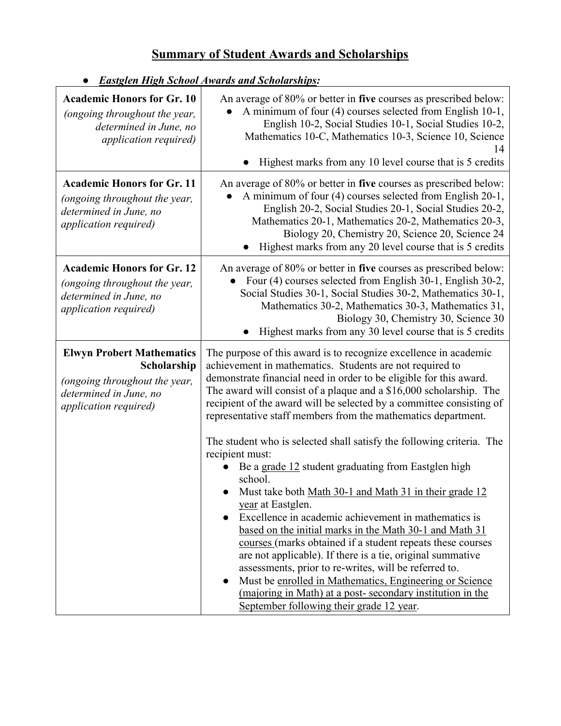# Summary of Student Awards and Scholarships

| <b>Academic Honors for Gr. 10</b><br>(ongoing throughout the year,<br>determined in June, no<br><i>application required</i> )               | An average of 80% or better in five courses as prescribed below:<br>A minimum of four (4) courses selected from English 10-1,<br>English 10-2, Social Studies 10-1, Social Studies 10-2,<br>Mathematics 10-C, Mathematics 10-3, Science 10, Science<br>14<br>Highest marks from any 10 level course that is 5 credits                                                                                                                                                                                                                                                                                                                                                                                                                                                                                                                                                                                                                                                                                                                                                                                                                       |
|---------------------------------------------------------------------------------------------------------------------------------------------|---------------------------------------------------------------------------------------------------------------------------------------------------------------------------------------------------------------------------------------------------------------------------------------------------------------------------------------------------------------------------------------------------------------------------------------------------------------------------------------------------------------------------------------------------------------------------------------------------------------------------------------------------------------------------------------------------------------------------------------------------------------------------------------------------------------------------------------------------------------------------------------------------------------------------------------------------------------------------------------------------------------------------------------------------------------------------------------------------------------------------------------------|
| <b>Academic Honors for Gr. 11</b><br>(ongoing throughout the year,<br>determined in June, no<br>application required)                       | An average of 80% or better in five courses as prescribed below:<br>A minimum of four (4) courses selected from English 20-1,<br>English 20-2, Social Studies 20-1, Social Studies 20-2,<br>Mathematics 20-1, Mathematics 20-2, Mathematics 20-3,<br>Biology 20, Chemistry 20, Science 20, Science 24<br>Highest marks from any 20 level course that is 5 credits                                                                                                                                                                                                                                                                                                                                                                                                                                                                                                                                                                                                                                                                                                                                                                           |
| <b>Academic Honors for Gr. 12</b><br>(ongoing throughout the year,<br>determined in June, no<br>application required)                       | An average of 80% or better in five courses as prescribed below:<br>Four (4) courses selected from English 30-1, English 30-2,<br>Social Studies 30-1, Social Studies 30-2, Mathematics 30-1,<br>Mathematics 30-2, Mathematics 30-3, Mathematics 31,<br>Biology 30, Chemistry 30, Science 30<br>Highest marks from any 30 level course that is 5 credits                                                                                                                                                                                                                                                                                                                                                                                                                                                                                                                                                                                                                                                                                                                                                                                    |
| <b>Elwyn Probert Mathematics</b><br>Scholarship<br>(ongoing throughout the year,<br>determined in June, no<br><i>application required</i> ) | The purpose of this award is to recognize excellence in academic<br>achievement in mathematics. Students are not required to<br>demonstrate financial need in order to be eligible for this award.<br>The award will consist of a plaque and a $$16,000$ scholarship. The<br>recipient of the award will be selected by a committee consisting of<br>representative staff members from the mathematics department.<br>The student who is selected shall satisfy the following criteria. The<br>recipient must:<br>Be a grade 12 student graduating from Eastglen high<br>school.<br>Must take both Math 30-1 and Math 31 in their grade 12<br>year at Eastglen.<br>Excellence in academic achievement in mathematics is<br>based on the initial marks in the Math 30-1 and Math 31<br>courses (marks obtained if a student repeats these courses<br>are not applicable). If there is a tie, original summative<br>assessments, prior to re-writes, will be referred to.<br>Must be enrolled in Mathematics, Engineering or Science<br>(majoring in Math) at a post-secondary institution in the<br>September following their grade 12 year. |

● Eastglen High School Awards and Scholarships: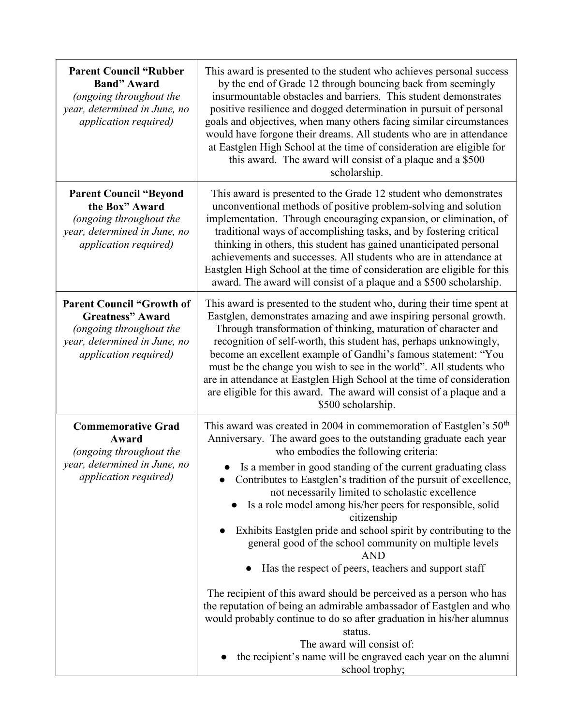| <b>Parent Council "Rubber</b><br><b>Band</b> " Award<br>(ongoing throughout the<br>year, determined in June, no<br><i>application required</i> ) | This award is presented to the student who achieves personal success<br>by the end of Grade 12 through bouncing back from seemingly<br>insurmountable obstacles and barriers. This student demonstrates<br>positive resilience and dogged determination in pursuit of personal<br>goals and objectives, when many others facing similar circumstances<br>would have forgone their dreams. All students who are in attendance<br>at Eastglen High School at the time of consideration are eligible for<br>this award. The award will consist of a plaque and a \$500<br>scholarship.                                                                                                                                                                                                                                                                                                                                                                                                                            |
|--------------------------------------------------------------------------------------------------------------------------------------------------|----------------------------------------------------------------------------------------------------------------------------------------------------------------------------------------------------------------------------------------------------------------------------------------------------------------------------------------------------------------------------------------------------------------------------------------------------------------------------------------------------------------------------------------------------------------------------------------------------------------------------------------------------------------------------------------------------------------------------------------------------------------------------------------------------------------------------------------------------------------------------------------------------------------------------------------------------------------------------------------------------------------|
| <b>Parent Council "Beyond</b><br>the Box" Award<br>(ongoing throughout the<br>year, determined in June, no<br>application required)              | This award is presented to the Grade 12 student who demonstrates<br>unconventional methods of positive problem-solving and solution<br>implementation. Through encouraging expansion, or elimination, of<br>traditional ways of accomplishing tasks, and by fostering critical<br>thinking in others, this student has gained unanticipated personal<br>achievements and successes. All students who are in attendance at<br>Eastglen High School at the time of consideration are eligible for this<br>award. The award will consist of a plaque and a \$500 scholarship.                                                                                                                                                                                                                                                                                                                                                                                                                                     |
| <b>Parent Council "Growth of</b><br><b>Greatness</b> " Award<br>(ongoing throughout the<br>year, determined in June, no<br>application required) | This award is presented to the student who, during their time spent at<br>Eastglen, demonstrates amazing and awe inspiring personal growth.<br>Through transformation of thinking, maturation of character and<br>recognition of self-worth, this student has, perhaps unknowingly,<br>become an excellent example of Gandhi's famous statement: "You<br>must be the change you wish to see in the world". All students who<br>are in attendance at Eastglen High School at the time of consideration<br>are eligible for this award. The award will consist of a plaque and a<br>\$500 scholarship.                                                                                                                                                                                                                                                                                                                                                                                                           |
| <b>Commemorative Grad</b><br>Award<br>(ongoing throughout the<br>year, determined in June, no<br>application required)                           | This award was created in 2004 in commemoration of Eastglen's $50th$<br>Anniversary. The award goes to the outstanding graduate each year<br>who embodies the following criteria:<br>Is a member in good standing of the current graduating class<br>Contributes to Eastglen's tradition of the pursuit of excellence,<br>not necessarily limited to scholastic excellence<br>Is a role model among his/her peers for responsible, solid<br>citizenship<br>Exhibits Eastglen pride and school spirit by contributing to the<br>general good of the school community on multiple levels<br><b>AND</b><br>Has the respect of peers, teachers and support staff<br>The recipient of this award should be perceived as a person who has<br>the reputation of being an admirable ambassador of Eastglen and who<br>would probably continue to do so after graduation in his/her alumnus<br>status.<br>The award will consist of:<br>the recipient's name will be engraved each year on the alumni<br>school trophy; |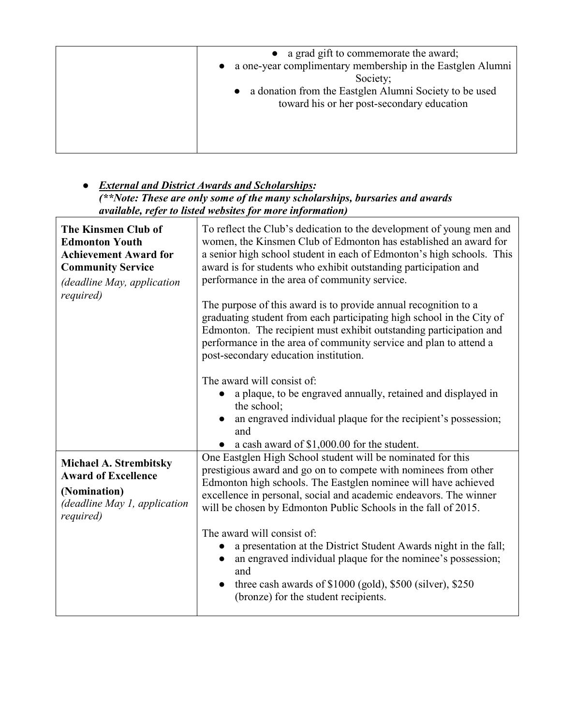| • a grad gift to commemorate the award;<br>a one-year complimentary membership in the Eastglen Alumni<br>Society;<br>a donation from the Eastglen Alumni Society to be used<br>$\bullet$<br>toward his or her post-secondary education |
|----------------------------------------------------------------------------------------------------------------------------------------------------------------------------------------------------------------------------------------|
|                                                                                                                                                                                                                                        |

## **•** External and District Awards and Scholarships: (\*\*Note: These are only some of the many scholarships, bursaries and awards available, refer to listed websites for more information)

| The Kinsmen Club of<br><b>Edmonton Youth</b><br><b>Achievement Award for</b><br><b>Community Service</b><br>(deadline May, application<br><i>required</i> ) | To reflect the Club's dedication to the development of young men and<br>women, the Kinsmen Club of Edmonton has established an award for<br>a senior high school student in each of Edmonton's high schools. This<br>award is for students who exhibit outstanding participation and<br>performance in the area of community service.<br>The purpose of this award is to provide annual recognition to a<br>graduating student from each participating high school in the City of<br>Edmonton. The recipient must exhibit outstanding participation and<br>performance in the area of community service and plan to attend a<br>post-secondary education institution.<br>The award will consist of:<br>a plaque, to be engraved annually, retained and displayed in<br>the school;<br>an engraved individual plaque for the recipient's possession;<br>and<br>• a cash award of $$1,000.00$ for the student. |
|-------------------------------------------------------------------------------------------------------------------------------------------------------------|--------------------------------------------------------------------------------------------------------------------------------------------------------------------------------------------------------------------------------------------------------------------------------------------------------------------------------------------------------------------------------------------------------------------------------------------------------------------------------------------------------------------------------------------------------------------------------------------------------------------------------------------------------------------------------------------------------------------------------------------------------------------------------------------------------------------------------------------------------------------------------------------------------------|
| <b>Michael A. Strembitsky</b><br><b>Award of Excellence</b><br>(Nomination)<br>(deadline May 1, application<br>required)                                    | One Eastglen High School student will be nominated for this<br>prestigious award and go on to compete with nominees from other<br>Edmonton high schools. The Eastglen nominee will have achieved<br>excellence in personal, social and academic endeavors. The winner<br>will be chosen by Edmonton Public Schools in the fall of 2015.<br>The award will consist of:<br>a presentation at the District Student Awards night in the fall;<br>an engraved individual plaque for the nominee's possession;<br>and<br>three cash awards of \$1000 (gold), \$500 (silver), \$250<br>(bronze) for the student recipients.                                                                                                                                                                                                                                                                                         |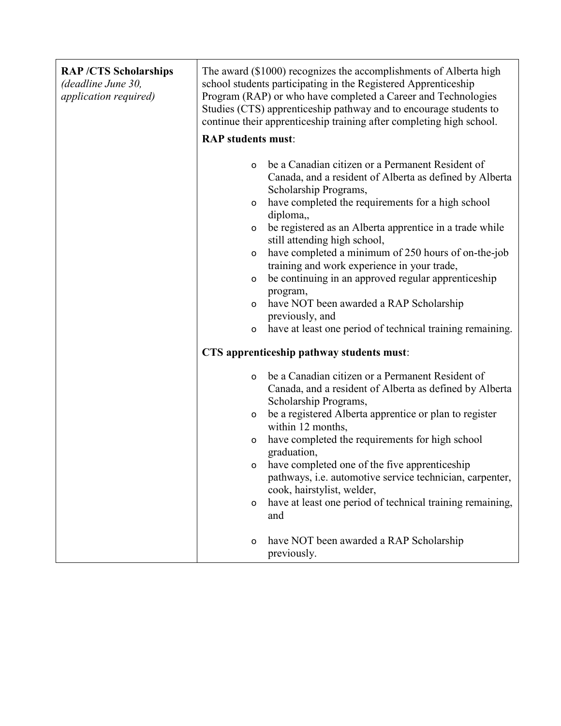| <b>RAP/CTS Scholarships</b><br>(deadline June 30,<br>application required) | The award (\$1000) recognizes the accomplishments of Alberta high<br>school students participating in the Registered Apprenticeship<br>Program (RAP) or who have completed a Career and Technologies<br>Studies (CTS) apprenticeship pathway and to encourage students to<br>continue their apprenticeship training after completing high school.                                                                                                                                                                                                                                                                                                    |
|----------------------------------------------------------------------------|------------------------------------------------------------------------------------------------------------------------------------------------------------------------------------------------------------------------------------------------------------------------------------------------------------------------------------------------------------------------------------------------------------------------------------------------------------------------------------------------------------------------------------------------------------------------------------------------------------------------------------------------------|
|                                                                            | <b>RAP</b> students must:                                                                                                                                                                                                                                                                                                                                                                                                                                                                                                                                                                                                                            |
|                                                                            | be a Canadian citizen or a Permanent Resident of<br>o<br>Canada, and a resident of Alberta as defined by Alberta<br>Scholarship Programs,<br>have completed the requirements for a high school<br>o<br>diploma,<br>be registered as an Alberta apprentice in a trade while<br>o<br>still attending high school,<br>have completed a minimum of 250 hours of on-the-job<br>o<br>training and work experience in your trade,<br>be continuing in an approved regular apprenticeship<br>$\mathsf{o}\,$<br>program,<br>have NOT been awarded a RAP Scholarship<br>o<br>previously, and<br>have at least one period of technical training remaining.<br>o |
|                                                                            | CTS apprenticeship pathway students must:                                                                                                                                                                                                                                                                                                                                                                                                                                                                                                                                                                                                            |
|                                                                            | be a Canadian citizen or a Permanent Resident of<br>o<br>Canada, and a resident of Alberta as defined by Alberta<br>Scholarship Programs,                                                                                                                                                                                                                                                                                                                                                                                                                                                                                                            |
|                                                                            | be a registered Alberta apprentice or plan to register<br>o<br>within 12 months,                                                                                                                                                                                                                                                                                                                                                                                                                                                                                                                                                                     |
|                                                                            | have completed the requirements for high school<br>$\mathsf{o}\,$<br>graduation,                                                                                                                                                                                                                                                                                                                                                                                                                                                                                                                                                                     |
|                                                                            | have completed one of the five apprenticeship<br>o                                                                                                                                                                                                                                                                                                                                                                                                                                                                                                                                                                                                   |
|                                                                            | pathways, i.e. automotive service technician, carpenter,<br>cook, hairstylist, welder,                                                                                                                                                                                                                                                                                                                                                                                                                                                                                                                                                               |
|                                                                            | have at least one period of technical training remaining,<br>о<br>and                                                                                                                                                                                                                                                                                                                                                                                                                                                                                                                                                                                |
|                                                                            | have NOT been awarded a RAP Scholarship<br>o<br>previously.                                                                                                                                                                                                                                                                                                                                                                                                                                                                                                                                                                                          |

Ē.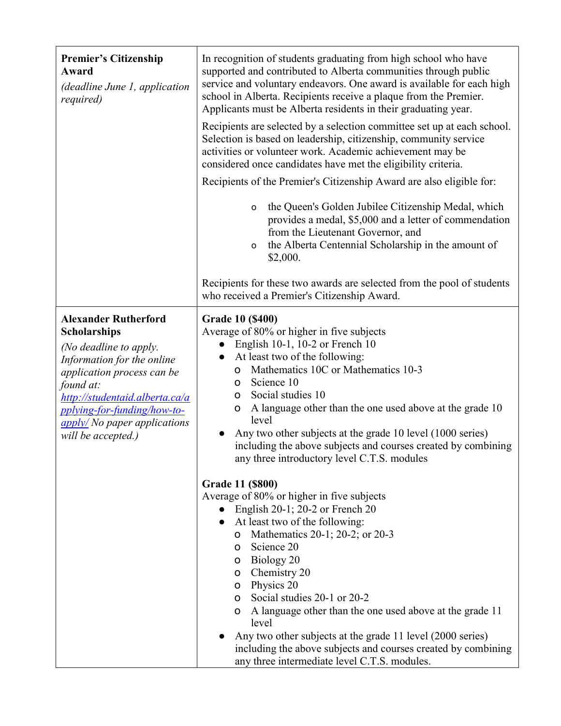| <b>Premier's Citizenship</b><br>Award<br>(deadline June 1, application<br><i>required</i> )                                                                                                                                                                                             | In recognition of students graduating from high school who have<br>supported and contributed to Alberta communities through public<br>service and voluntary endeavors. One award is available for each high<br>school in Alberta. Recipients receive a plaque from the Premier.<br>Applicants must be Alberta residents in their graduating year.<br>Recipients are selected by a selection committee set up at each school.<br>Selection is based on leadership, citizenship, community service<br>activities or volunteer work. Academic achievement may be<br>considered once candidates have met the eligibility criteria. |
|-----------------------------------------------------------------------------------------------------------------------------------------------------------------------------------------------------------------------------------------------------------------------------------------|--------------------------------------------------------------------------------------------------------------------------------------------------------------------------------------------------------------------------------------------------------------------------------------------------------------------------------------------------------------------------------------------------------------------------------------------------------------------------------------------------------------------------------------------------------------------------------------------------------------------------------|
|                                                                                                                                                                                                                                                                                         | Recipients of the Premier's Citizenship Award are also eligible for:                                                                                                                                                                                                                                                                                                                                                                                                                                                                                                                                                           |
|                                                                                                                                                                                                                                                                                         | the Queen's Golden Jubilee Citizenship Medal, which<br>o<br>provides a medal, \$5,000 and a letter of commendation<br>from the Lieutenant Governor, and<br>the Alberta Centennial Scholarship in the amount of<br>o<br>\$2,000.                                                                                                                                                                                                                                                                                                                                                                                                |
|                                                                                                                                                                                                                                                                                         | Recipients for these two awards are selected from the pool of students<br>who received a Premier's Citizenship Award.                                                                                                                                                                                                                                                                                                                                                                                                                                                                                                          |
| <b>Alexander Rutherford</b><br><b>Scholarships</b><br>(No deadline to apply.<br>Information for the online<br>application process can be<br>found at:<br>http://studentaid.alberta.ca/a<br>pplying-for-funding/how-to-<br>$\frac{apply}{N}$ No paper applications<br>will be accepted.) | <b>Grade 10 (\$400)</b><br>Average of 80% or higher in five subjects<br>English 10-1, 10-2 or French 10<br>At least two of the following:<br>Mathematics 10C or Mathematics 10-3<br>O<br>Science 10<br>$\circ$<br>Social studies 10<br>O<br>A language other than the one used above at the grade 10<br>O<br>level<br>Any two other subjects at the grade 10 level (1000 series)<br>including the above subjects and courses created by combining<br>any three introductory level C.T.S. modules                                                                                                                               |
|                                                                                                                                                                                                                                                                                         | <b>Grade 11 (\$800)</b><br>Average of 80% or higher in five subjects<br>$\bullet$ English 20-1; 20-2 or French 20<br>At least two of the following:<br>Mathematics 20-1; 20-2; or 20-3<br>$\mathsf{o}$<br>o Science 20<br>o Biology 20<br>Chemistry 20<br>$\mathsf{O}$<br>o Physics 20<br>Social studies 20-1 or 20-2<br>$\mathsf{O}$<br>A language other than the one used above at the grade 11<br>$\mathsf{o}$<br>level<br>Any two other subjects at the grade 11 level (2000 series)<br>including the above subjects and courses created by combining<br>any three intermediate level C.T.S. modules.                      |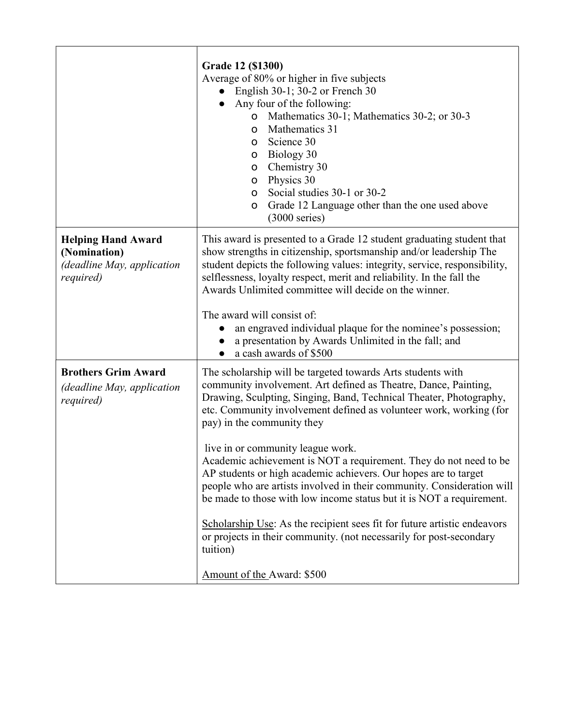|                                                                                      | Grade 12 (\$1300)<br>Average of 80% or higher in five subjects<br>English 30-1; 30-2 or French 30<br>Any four of the following:<br>Mathematics 30-1; Mathematics 30-2; or 30-3<br>o<br>Mathematics 31<br>o<br>Science 30<br>o<br>Biology 30<br>o<br>Chemistry 30<br>O<br>Physics 30<br>O<br>Social studies 30-1 or 30-2<br>O<br>Grade 12 Language other than the one used above<br>O<br>$(3000 \text{ series})$                                                                                                                                                                                                                                                                                                                                                                                                                                                |
|--------------------------------------------------------------------------------------|----------------------------------------------------------------------------------------------------------------------------------------------------------------------------------------------------------------------------------------------------------------------------------------------------------------------------------------------------------------------------------------------------------------------------------------------------------------------------------------------------------------------------------------------------------------------------------------------------------------------------------------------------------------------------------------------------------------------------------------------------------------------------------------------------------------------------------------------------------------|
| <b>Helping Hand Award</b><br>(Nomination)<br>(deadline May, application<br>required) | This award is presented to a Grade 12 student graduating student that<br>show strengths in citizenship, sportsmanship and/or leadership The<br>student depicts the following values: integrity, service, responsibility,<br>selflessness, loyalty respect, merit and reliability. In the fall the<br>Awards Unlimited committee will decide on the winner.<br>The award will consist of:<br>an engraved individual plaque for the nominee's possession;<br>a presentation by Awards Unlimited in the fall; and                                                                                                                                                                                                                                                                                                                                                 |
| <b>Brothers Grim Award</b><br>(deadline May, application<br>required)                | a cash awards of \$500<br>The scholarship will be targeted towards Arts students with<br>community involvement. Art defined as Theatre, Dance, Painting,<br>Drawing, Sculpting, Singing, Band, Technical Theater, Photography,<br>etc. Community involvement defined as volunteer work, working (for<br>pay) in the community they<br>live in or community league work.<br>Academic achievement is NOT a requirement. They do not need to be<br>AP students or high academic achievers. Our hopes are to target<br>people who are artists involved in their community. Consideration will<br>be made to those with low income status but it is NOT a requirement.<br>Scholarship Use: As the recipient sees fit for future artistic endeavors<br>or projects in their community. (not necessarily for post-secondary<br>tuition)<br>Amount of the Award: \$500 |